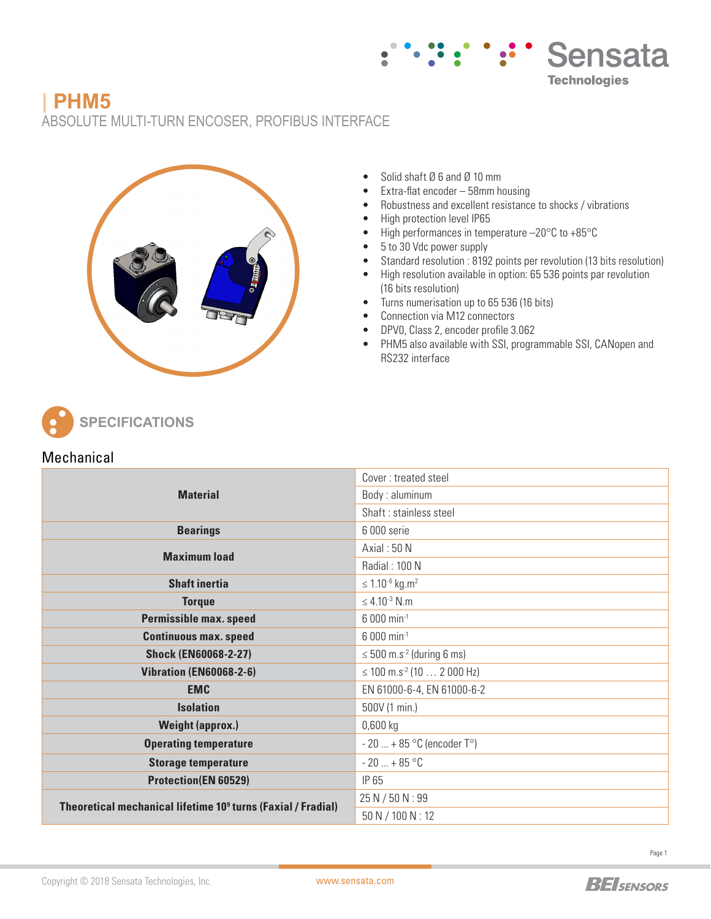

# **| PHM5**

ABSOLUTE MULTI-TURN ENCOSER, PROFIBUS INTERFACE



- Solid shaft Ø 6 and Ø 10 mm
- Extra-flat encoder 58mm housing
- Robustness and excellent resistance to shocks / vibrations
- High protection level IP65
- High performances in temperature -20°C to +85°C
- 5 to 30 Vdc power supply
- Standard resolution : 8192 points per revolution (13 bits resolution)
- High resolution available in option: 65 536 points par revolution (16 bits resolution)
- Turns numerisation up to 65 536 (16 bits)
- Connection via M12 connectors
- DPV0, Class 2, encoder profile 3.062
- PHM5 also available with SSI, programmable SSI, CANopen and RS232 interface

**SPECIFICATIONS**

### **Mechanical**

|                                                                          | Cover: treated steel                                                                                                                               |  |  |  |  |  |
|--------------------------------------------------------------------------|----------------------------------------------------------------------------------------------------------------------------------------------------|--|--|--|--|--|
| <b>Material</b>                                                          | Body: aluminum                                                                                                                                     |  |  |  |  |  |
|                                                                          | Shaft: stainless steel                                                                                                                             |  |  |  |  |  |
| <b>Bearings</b>                                                          | 6 000 serie                                                                                                                                        |  |  |  |  |  |
| <b>Maximum load</b>                                                      | Axial: 50 N                                                                                                                                        |  |  |  |  |  |
|                                                                          | Radial: 100 N                                                                                                                                      |  |  |  |  |  |
| <b>Shaft inertia</b>                                                     | $\leq 1.10^{-6}$ kg.m <sup>2</sup>                                                                                                                 |  |  |  |  |  |
| <b>Torque</b>                                                            | ≤ 4.10 <sup>-3</sup> N.m                                                                                                                           |  |  |  |  |  |
| <b>Permissible max. speed</b>                                            | 6 000 min <sup>-1</sup>                                                                                                                            |  |  |  |  |  |
| <b>Continuous max. speed</b>                                             | 6 000 min <sup>-1</sup><br>$\leq$ 500 m.s <sup>-2</sup> (during 6 ms)<br>$\leq$ 100 m.s <sup>-2</sup> (10  2 000 Hz)<br>EN 61000-6-4, EN 61000-6-2 |  |  |  |  |  |
| <b>Shock (EN60068-2-27)</b>                                              |                                                                                                                                                    |  |  |  |  |  |
| <b>Vibration (EN60068-2-6)</b>                                           |                                                                                                                                                    |  |  |  |  |  |
| <b>EMC</b>                                                               |                                                                                                                                                    |  |  |  |  |  |
| <b>Isolation</b>                                                         | 500V (1 min.)                                                                                                                                      |  |  |  |  |  |
| <b>Weight (approx.)</b>                                                  | $0,600$ kg                                                                                                                                         |  |  |  |  |  |
| <b>Operating temperature</b>                                             | $-20$ + 85 °C (encoder T°)                                                                                                                         |  |  |  |  |  |
| <b>Storage temperature</b>                                               | $-20+85$ °C                                                                                                                                        |  |  |  |  |  |
| <b>Protection(EN 60529)</b>                                              | IP 65                                                                                                                                              |  |  |  |  |  |
| Theoretical mechanical lifetime 10 <sup>9</sup> turns (Faxial / Fradial) | 25 N / 50 N : 99                                                                                                                                   |  |  |  |  |  |
|                                                                          | 50 N / 100 N : 12                                                                                                                                  |  |  |  |  |  |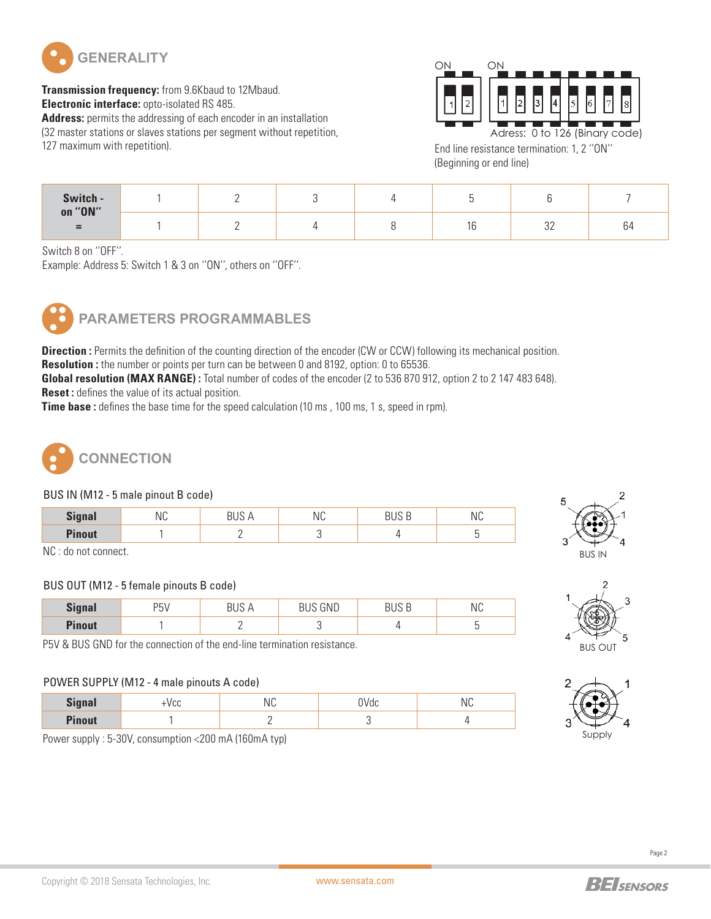

**Transmission frequency:** from 9.6Kbaud to 12Mbaud. **Electronic interface:** opto-isolated RS 485. **Address:** permits the addressing of each encoder in an installation (32 master stations or slaves stations per segment without repetition, 127 maximum with repetition).



End line resistance termination: 1, 2 ''ON'' (Beginning or end line)

| Switch -<br>on "ON"<br>$=$ |  |  |              |              |
|----------------------------|--|--|--------------|--------------|
|                            |  |  | $\cap$<br>ےں | $\sim$<br>b4 |

Switch 8 on ''OFF''.

Example: Address 5: Switch 1 & 3 on ''ON'', others on ''OFF''.



## **PARAMETERS PROGRAMMABLES**

**Direction :** Permits the definition of the counting direction of the encoder (CW or CCW) following its mechanical position. **Resolution :** the number or points per turn can be between 0 and 8192, option: 0 to 65536.

**Global resolution (MAX RANGE) :** Total number of codes of the encoder (2 to 536 870 912, option 2 to 2 147 483 648). **Reset :** defines the value of its actual position.

**Time base :** defines the base time for the speed calculation (10 ms, 100 ms, 1 s, speed in rpm).



#### BUS IN (M12 - 5 male pinout B code)

| <b>Signal</b>                | ΝC | - | ΝC | ח חווח | ΝC |
|------------------------------|----|---|----|--------|----|
| <b>Pinout</b>                |    | - |    |        |    |
| $\mathbf{N} \cap \mathbf{N}$ |    |   |    |        |    |

NC : do not connect.

#### BUS OUT (M12 - 5 female pinouts B code)

| <b>Signal</b> | PI<br>ັບ |   | GND<br>ы | NC |
|---------------|----------|---|----------|----|
| <b>Pinout</b> |          | - |          |    |

P5V & BUS GND for the connection of the end-line termination resistance.

#### POWER SUPPLY (M12 - 4 male pinouts A code)

| <b>Ciano</b>  | ∵v ∪∪ | NC. | 'Vdc | IVU |  |  |
|---------------|-------|-----|------|-----|--|--|
| <b>Pinout</b> |       | —   |      |     |  |  |

Power supply : 5-30V, consumption <200 mA (160mA typ)





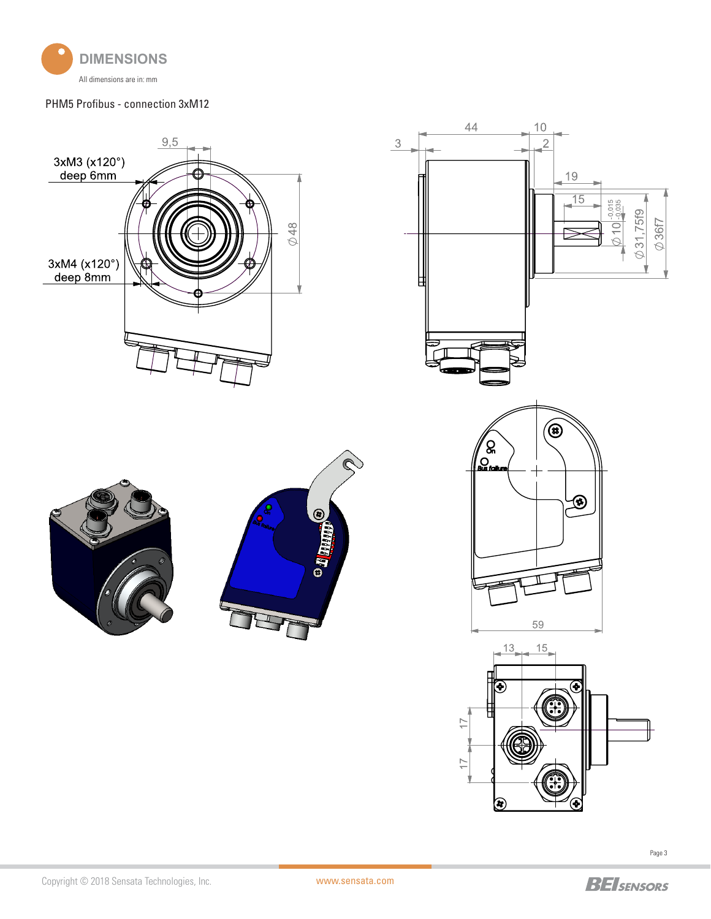

#### PHM5 Profibus - connection 3xM12





Page 3